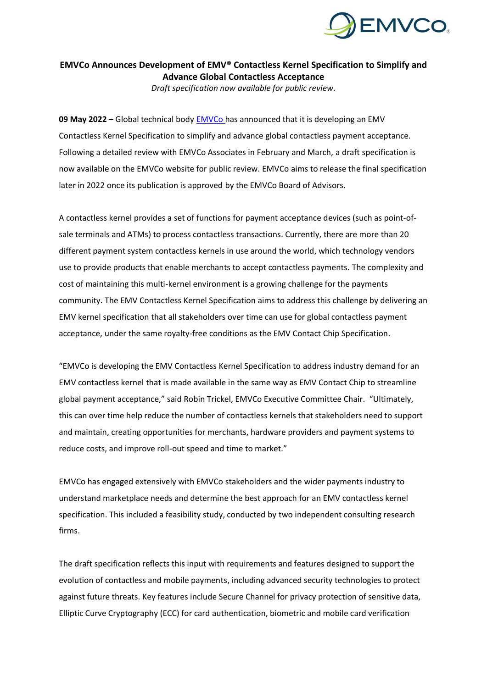

## **EMVCo Announces Development of EMV® Contactless Kernel Specification to Simplify and Advance Global Contactless Acceptance**

*Draft specification now available for public review.*

**09 May 2022** – Global technical body [EMVCo](http://www.emvco.com/) has announced that it is developing an EMV Contactless Kernel Specification to simplify and advance global contactless payment acceptance. Following a detailed review with EMVCo Associates in February and March, a draft specification is now available on the EMVCo website for public review. EMVCo aims to release the final specification later in 2022 once its publication is approved by the EMVCo Board of Advisors.

A contactless kernel provides a set of functions for payment acceptance devices (such as point-ofsale terminals and ATMs) to process contactless transactions. Currently, there are more than 20 different payment system contactless kernels in use around the world, which technology vendors use to provide products that enable merchants to accept contactless payments. The complexity and cost of maintaining this multi-kernel environment is a growing challenge for the payments community. The EMV Contactless Kernel Specification aims to address this challenge by delivering an EMV kernel specification that all stakeholders over time can use for global contactless payment acceptance, under the same royalty-free conditions as the EMV Contact Chip Specification.

"EMVCo is developing the EMV Contactless Kernel Specification to address industry demand for an EMV contactless kernel that is made available in the same way as EMV Contact Chip to streamline global payment acceptance," said Robin Trickel, EMVCo Executive Committee Chair. "Ultimately, this can over time help reduce the number of contactless kernels that stakeholders need to support and maintain, creating opportunities for merchants, hardware providers and payment systems to reduce costs, and improve roll-out speed and time to market."

EMVCo has engaged extensively with EMVCo stakeholders and the wider payments industry to understand marketplace needs and determine the best approach for an EMV contactless kernel specification. This included a feasibility study, conducted by two independent consulting research firms.

The draft specification reflects this input with requirements and features designed to support the evolution of contactless and mobile payments, including advanced security technologies to protect against future threats. Key features include Secure Channel for privacy protection of sensitive data, Elliptic Curve Cryptography (ECC) for card authentication, biometric and mobile card verification